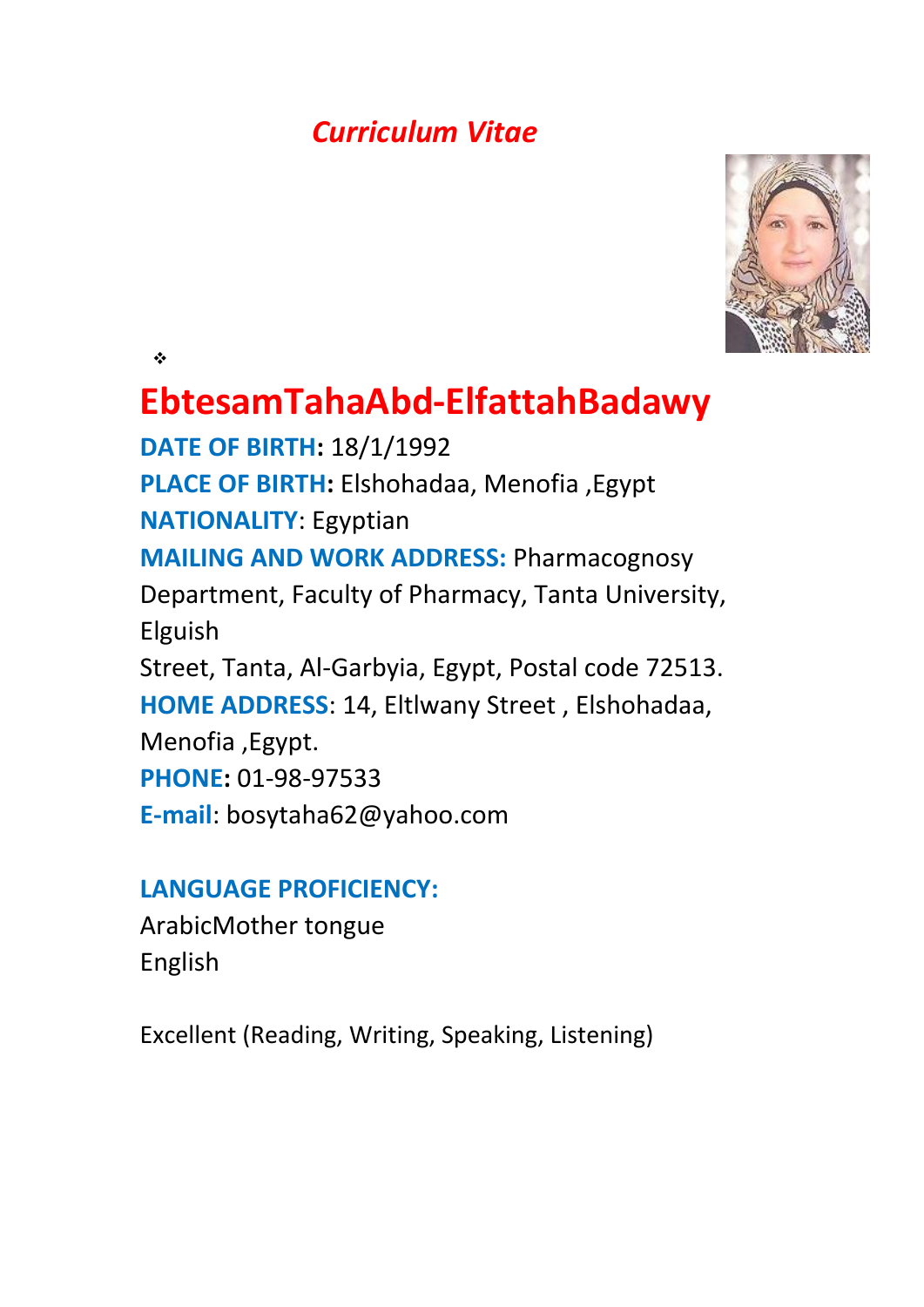# *Curriculum Vitae*



 $\frac{1}{2}$ 

# **EbtesamTahaAbd-ElfattahBadawy**

**DATE OF BIRTH:** 18/1/1992 **PLACE OF BIRTH:** Elshohadaa, Menofia ,Egypt **NATIONALITY**: Egyptian **MAILING AND WORK ADDRESS:** Pharmacognosy Department, Faculty of Pharmacy, Tanta University, Elguish Street, Tanta, Al-Garbyia, Egypt, Postal code 72513. **HOME ADDRESS**: 14, Eltlwany Street , Elshohadaa, Menofia ,Egypt. **PHONE:** 01-98-97533 **E-mail**: bosytaha62@yahoo.com

## **LANGUAGE PROFICIENCY:**

ArabicMother tongue English

Excellent (Reading, Writing, Speaking, Listening)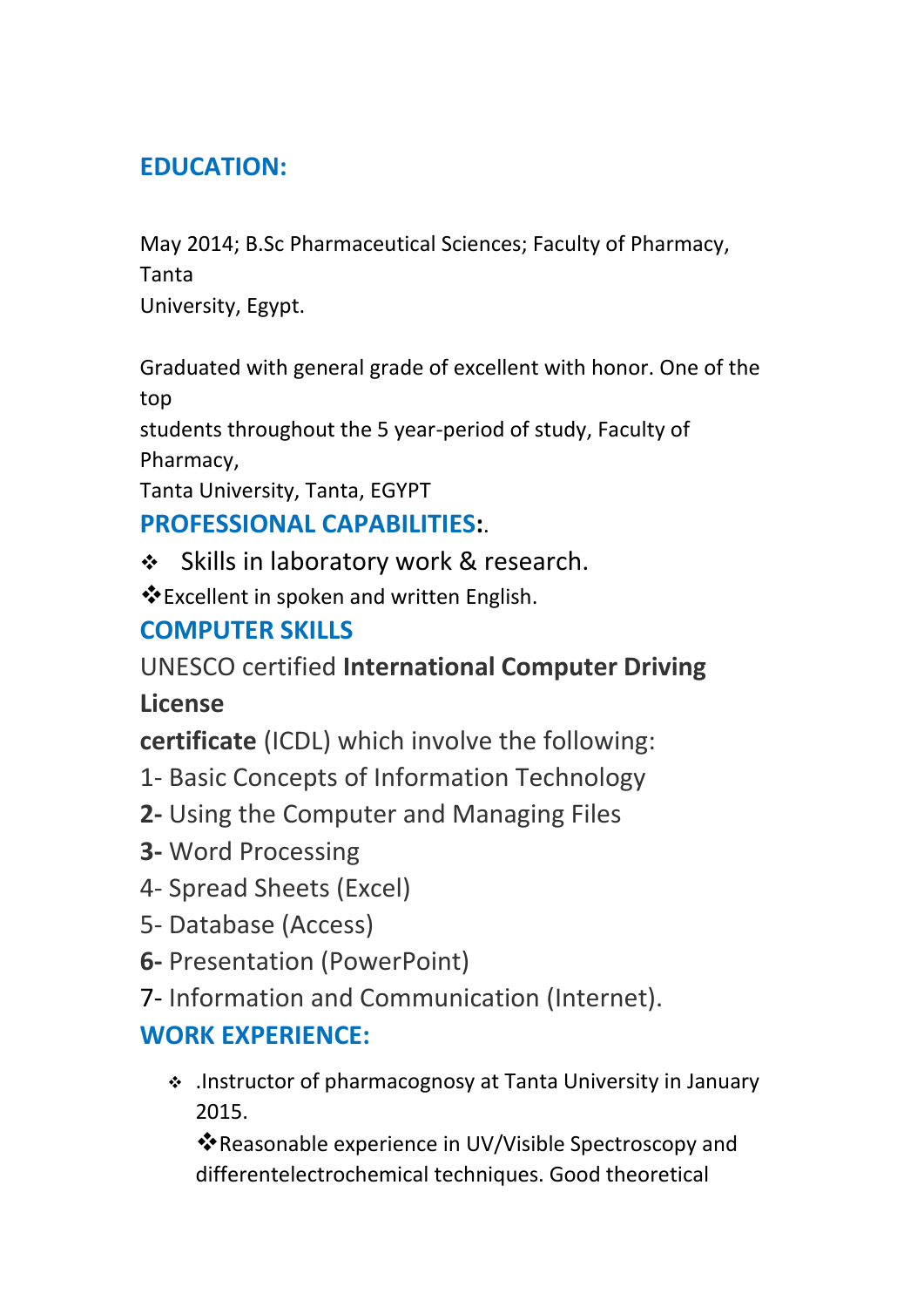# **EDUCATION:**

May 2014; B.Sc Pharmaceutical Sciences; Faculty of Pharmacy, Tanta

University, Egypt.

Graduated with general grade of excellent with honor. One of the top

students throughout the 5 year-period of study, Faculty of Pharmacy,

Tanta University, Tanta, EGYPT

### **PROFESSIONAL CAPABILITIES:**.

❖ Skills in laboratory work & research.

Excellent in spoken and written English.

## **COMPUTER SKILLS**

UNESCO certified **International Computer Driving** 

**License**

**certificate** (ICDL) which involve the following:

- 1- Basic Concepts of Information Technology
- **2-** Using the Computer and Managing Files
- **3-** Word Processing
- 4- Spread Sheets (Excel)
- 5- Database (Access)
- **6-** Presentation (PowerPoint)
- 7- Information and Communication (Internet).

# **WORK EXPERIENCE:**

 .Instructor of pharmacognosy at Tanta University in January 2015.

Reasonable experience in UV/Visible Spectroscopy and differentelectrochemical techniques. Good theoretical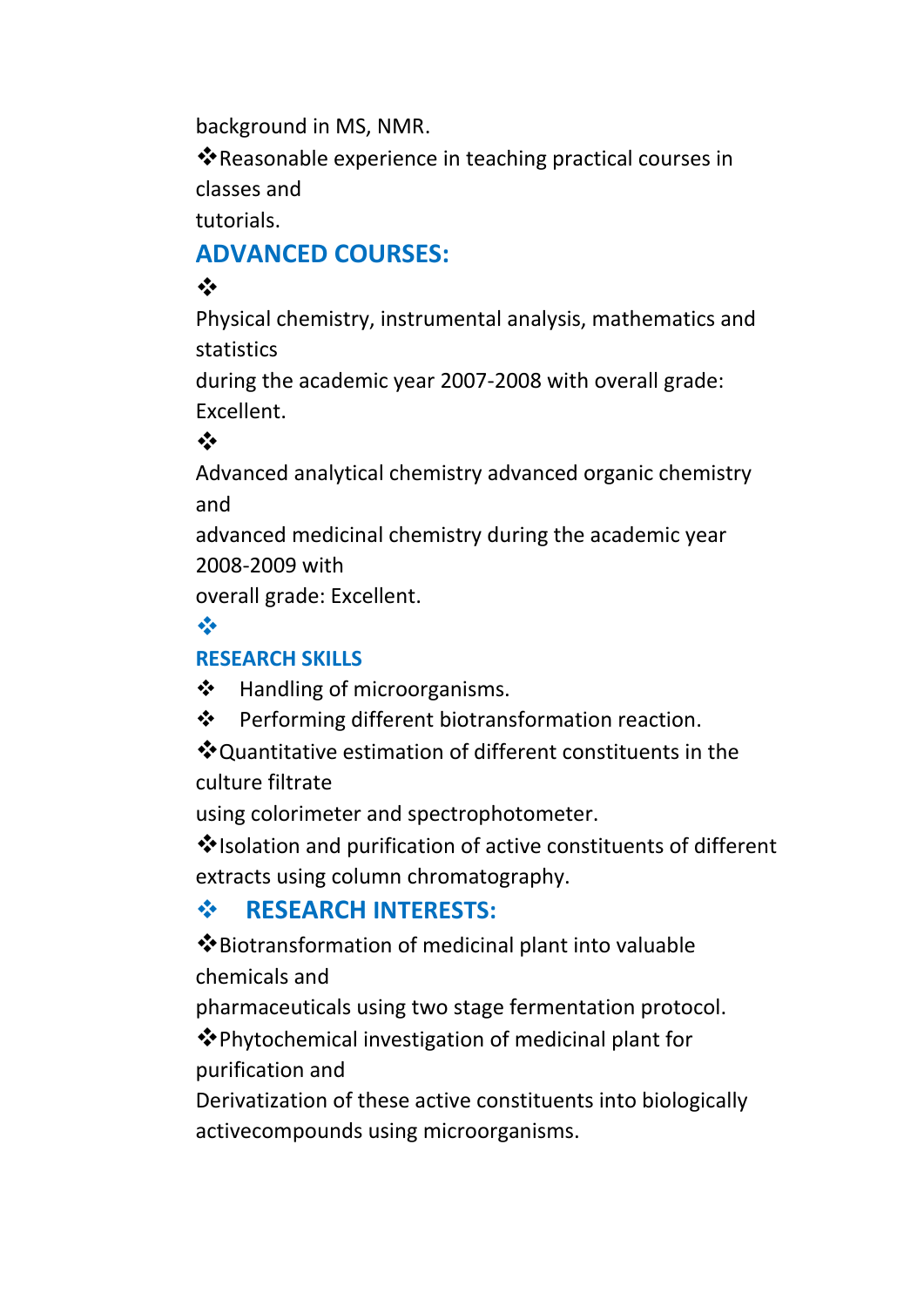background in MS, NMR.

Reasonable experience in teaching practical courses in classes and

tutorials.

# **ADVANCED COURSES:**

### $\frac{1}{2}$

Physical chemistry, instrumental analysis, mathematics and statistics

during the academic year 2007-2008 with overall grade: Excellent.

#### $\frac{1}{2}$

Advanced analytical chemistry advanced organic chemistry and

advanced medicinal chemistry during the academic year 2008-2009 with

overall grade: Excellent.

#### $\frac{1}{2}$

#### **RESEARCH SKILLS**

 $\triangleleft$  Handling of microorganisms.

❖ Performing different biotransformation reaction.

Quantitative estimation of different constituents in the culture filtrate

using colorimeter and spectrophotometer.

Isolation and purification of active constituents of different extracts using column chromatography.

### **RESEARCH INTERESTS:**

Biotransformation of medicinal plant into valuable chemicals and

pharmaceuticals using two stage fermentation protocol.

**V** Phytochemical investigation of medicinal plant for purification and

Derivatization of these active constituents into biologically activecompounds using microorganisms.